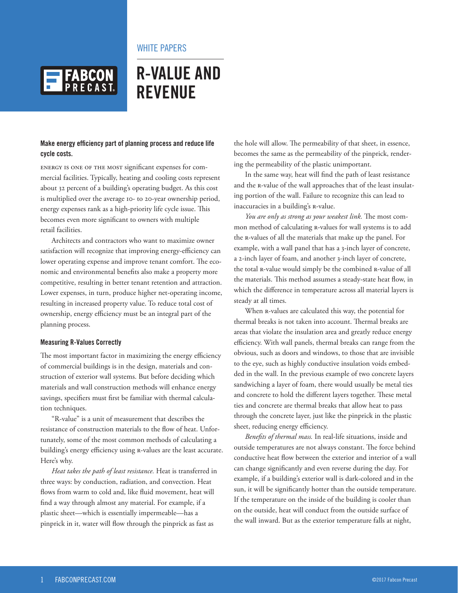

## WHITE PAPERS

# **R-VALUE AND REVENUE**

### **Make energy efficiency part of planning process and reduce life cycle costs.**

Energy is one of the most significant expenses for commercial facilities. Typically, heating and cooling costs represent about 32 percent of a building's operating budget. As this cost is multiplied over the average 10- to 20-year ownership period, energy expenses rank as a high-priority life cycle issue. This becomes even more significant to owners with multiple retail facilities.

Architects and contractors who want to maximize owner satisfaction will recognize that improving energy-efficiency can lower operating expense and improve tenant comfort. The economic and environmental benefits also make a property more competitive, resulting in better tenant retention and attraction. Lower expenses, in turn, produce higher net-operating income, resulting in increased property value. To reduce total cost of ownership, energy efficiency must be an integral part of the planning process.

#### **Measuring R-Values Correctly**

The most important factor in maximizing the energy efficiency of commercial buildings is in the design, materials and construction of exterior wall systems. But before deciding which materials and wall construction methods will enhance energy savings, specifiers must first be familiar with thermal calculation techniques.

"R-value" is a unit of measurement that describes the resistance of construction materials to the flow of heat. Unfortunately, some of the most common methods of calculating a building's energy efficiency using R-values are the least accurate. Here's why.

*Heat takes the path of least resistance.* Heat is transferred in three ways: by conduction, radiation, and convection. Heat flows from warm to cold and, like fluid movement, heat will find a way through almost any material. For example, if a plastic sheet—which is essentially impermeable—has a pinprick in it, water will flow through the pinprick as fast as

the hole will allow. The permeability of that sheet, in essence, becomes the same as the permeability of the pinprick, rendering the permeability of the plastic unimportant.

In the same way, heat will find the path of least resistance and the R-value of the wall approaches that of the least insulating portion of the wall. Failure to recognize this can lead to inaccuracies in a building's R-value.

*You are only as strong as your weakest link.* The most common method of calculating R-values for wall systems is to add the R-values of all the materials that make up the panel. For example, with a wall panel that has a 3-inch layer of concrete, a 2-inch layer of foam, and another 3-inch layer of concrete, the total R-value would simply be the combined R-value of all the materials. This method assumes a steady-state heat flow, in which the difference in temperature across all material layers is steady at all times.

When R-values are calculated this way, the potential for thermal breaks is not taken into account. Thermal breaks are areas that violate the insulation area and greatly reduce energy efficiency. With wall panels, thermal breaks can range from the obvious, such as doors and windows, to those that are invisible to the eye, such as highly conductive insulation voids embedded in the wall. In the previous example of two concrete layers sandwiching a layer of foam, there would usually be metal ties and concrete to hold the different layers together. These metal ties and concrete are thermal breaks that allow heat to pass through the concrete layer, just like the pinprick in the plastic sheet, reducing energy efficiency.

*Benefits of thermal mass.* In real-life situations, inside and outside temperatures are not always constant. The force behind conductive heat flow between the exterior and interior of a wall can change significantly and even reverse during the day. For example, if a building's exterior wall is dark-colored and in the sun, it will be significantly hotter than the outside temperature. If the temperature on the inside of the building is cooler than on the outside, heat will conduct from the outside surface of the wall inward. But as the exterior temperature falls at night,